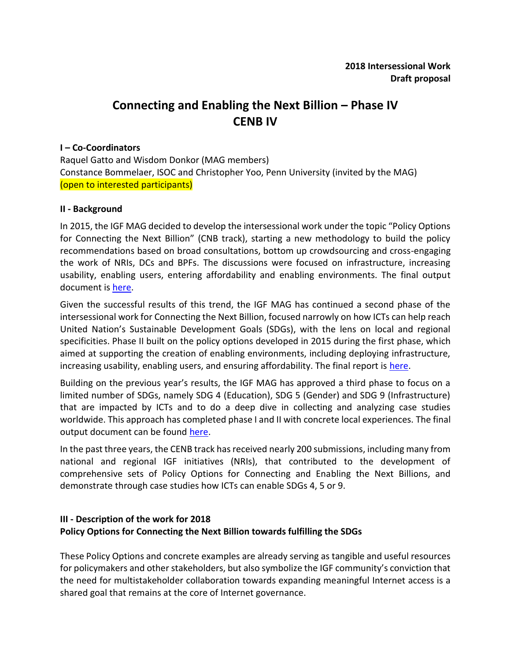# **Connecting and Enabling the Next Billion – Phase IV CENB IV**

#### **I – Co-Coordinators**

Raquel Gatto and Wisdom Donkor (MAG members) Constance Bommelaer, ISOC and Christopher Yoo, Penn University (invited by the MAG) (open to interested participants)

### **II - Background**

In 2015, the IGF MAG decided to develop the intersessional work under the topic "Policy Options for Connecting the Next Billion" (CNB track), starting a new methodology to build the policy recommendations based on broad consultations, bottom up crowdsourcing and cross-engaging the work of NRIs, DCs and BPFs. The discussions were focused on infrastructure, increasing usability, enabling users, entering affordability and enabling environments. The final output document is [here.](http://www.intgovforum.org/multilingual/content/connecting-and-enabling-the-next-billion-phase-ii)

Given the successful results of this trend, the IGF MAG has continued a second phase of the intersessional work for Connecting the Next Billion, focused narrowly on how ICTs can help reach United Nation's Sustainable Development Goals (SDGs), with the lens on local and regional specificities. Phase II built on the policy options developed in 2015 during the first phase, which aimed at supporting the creation of enabling environments, including deploying infrastructure, increasing usability, enabling users, and ensuring affordability. The final report is [here.](https://www.intgovforum.org/multilingual/index.php?q=filedepot_download/3416/549)

Building on the previous year's results, the IGF MAG has approved a third phase to focus on a limited number of SDGs, namely SDG 4 (Education), SDG 5 (Gender) and SDG 9 (Infrastructure) that are impacted by ICTs and to do a deep dive in collecting and analyzing case studies worldwide. This approach has completed phase I and II with concrete local experiences. The final output document can be found [here.](http://www.intgovforum.org/multilingual/filedepot_download/3416/1071)

In the past three years, the CENB track has received nearly 200 submissions, including many from national and regional IGF initiatives (NRIs), that contributed to the development of comprehensive sets of Policy Options for Connecting and Enabling the Next Billions, and demonstrate through case studies how ICTs can enable SDGs 4, 5 or 9.

### **III - Description of the work for 2018 Policy Options for Connecting the Next Billion towards fulfilling the SDGs**

These Policy Options and concrete examples are already serving as tangible and useful resources for policymakers and other stakeholders, but also symbolize the IGF community's conviction that the need for multistakeholder collaboration towards expanding meaningful Internet access is a shared goal that remains at the core of Internet governance.